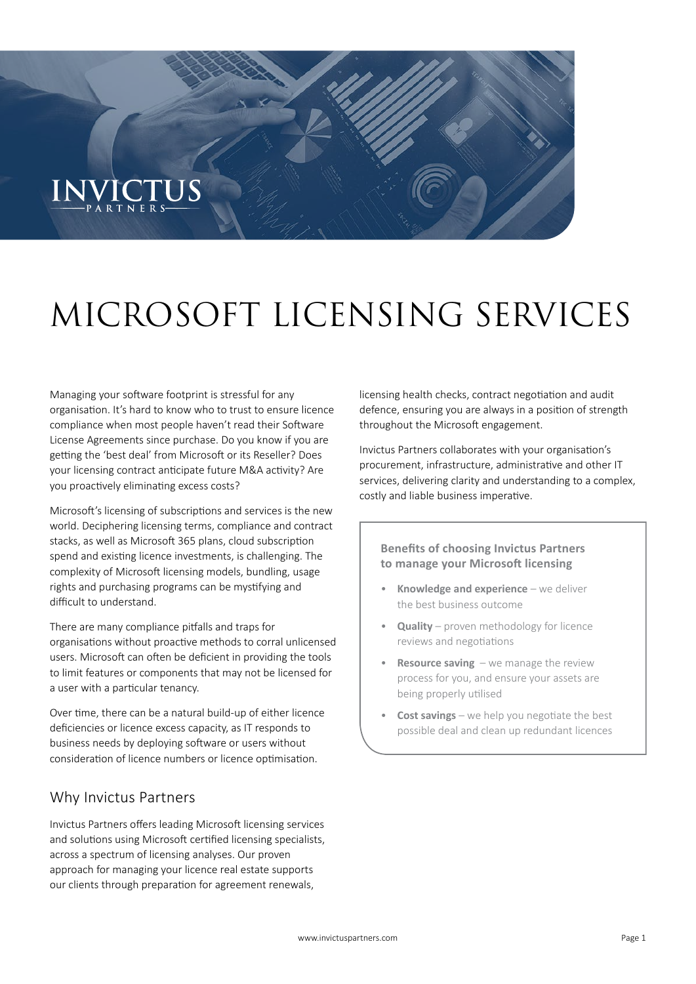# ENVICTI

## MICROSOFT LICENSING SERVICES

Managing your software footprint is stressful for any organisation. It's hard to know who to trust to ensure licence compliance when most people haven't read their Software License Agreements since purchase. Do you know if you are getting the 'best deal' from Microsoft or its Reseller? Does your licensing contract anticipate future M&A activity? Are you proactively eliminating excess costs?

Microsoft's licensing of subscriptions and services is the new world. Deciphering licensing terms, compliance and contract stacks, as well as Microsoft 365 plans, cloud subscription spend and existing licence investments, is challenging. The complexity of Microsoft licensing models, bundling, usage rights and purchasing programs can be mystifying and difficult to understand.

There are many compliance pitfalls and traps for organisations without proactive methods to corral unlicensed users. Microsoft can often be deficient in providing the tools to limit features or components that may not be licensed for a user with a particular tenancy.

Over time, there can be a natural build-up of either licence deficiencies or licence excess capacity, as IT responds to business needs by deploying software or users without consideration of licence numbers or licence optimisation.

#### Why Invictus Partners

Invictus Partners offers leading Microsoft licensing services and solutions using Microsoft certified licensing specialists, across a spectrum of licensing analyses. Our proven approach for managing your licence real estate supports our clients through preparation for agreement renewals,

licensing health checks, contract negotiation and audit defence, ensuring you are always in a position of strength throughout the Microsoft engagement.

Invictus Partners collaborates with your organisation's procurement, infrastructure, administrative and other IT services, delivering clarity and understanding to a complex, costly and liable business imperative.

#### **Benefits of choosing Invictus Partners to manage your Microsoft licensing**

- **Knowledge and experience** we deliver the best business outcome
- **Quality** proven methodology for licence reviews and negotiations
- **Resource saving**  we manage the review process for you, and ensure your assets are being properly utilised
- **Cost savings** we help you negotiate the best possible deal and clean up redundant licences